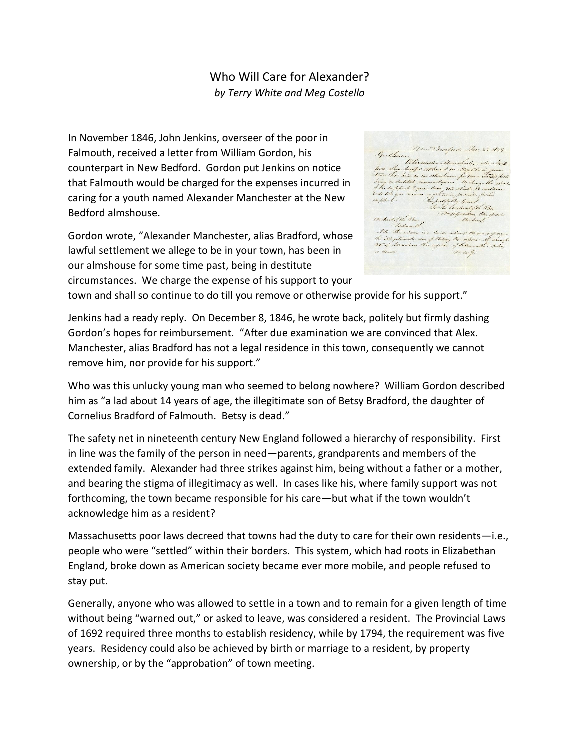## Who Will Care for Alexander? *by Terry White and Meg Costello*

In November 1846, John Jenkins, overseer of the poor in Falmouth, received a letter from William Gordon, his counterpart in New Bedford. Gordon put Jenkins on notice that Falmouth would be charged for the expenses incurred in caring for a youth named Alexander Manchester at the New Bedford almshouse.

Gordon wrote, "Alexander Manchester, alias Bradford, whose lawful settlement we allege to be in your town, has been in our almshouse for some time past, being in destitute circumstances. We charge the expense of his support to your

Mur Bradford Nov. 23 MM .<br>Gentlemen, Ulexander etter<br>førd riben lun<sub>dt</sub>al settem<del>ed</del> e. . .<br>. pert silver tackpet to the and the silver to be provided by the second term of the second form of the second<br>. leave face low to an annual term of the second term of the second term of the second term of the second t De agencia tu que On herd of the Pen M. Paradina to a lack asked the great food<br>The Maribers for if the lay therefore the clear<br>to all standina Great forest of the lands the last<br>in the store. mag.

town and shall so continue to do till you remove or otherwise provide for his support."

Jenkins had a ready reply. On December 8, 1846, he wrote back, politely but firmly dashing Gordon's hopes for reimbursement. "After due examination we are convinced that Alex. Manchester, alias Bradford has not a legal residence in this town, consequently we cannot remove him, nor provide for his support."

Who was this unlucky young man who seemed to belong nowhere? William Gordon described him as "a lad about 14 years of age, the illegitimate son of Betsy Bradford, the daughter of Cornelius Bradford of Falmouth. Betsy is dead."

The safety net in nineteenth century New England followed a hierarchy of responsibility. First in line was the family of the person in need—parents, grandparents and members of the extended family. Alexander had three strikes against him, being without a father or a mother, and bearing the stigma of illegitimacy as well. In cases like his, where family support was not forthcoming, the town became responsible for his care—but what if the town wouldn't acknowledge him as a resident?

Massachusetts poor laws decreed that towns had the duty to care for their own residents—i.e., people who were "settled" within their borders. This system, which had roots in Elizabethan England, broke down as American society became ever more mobile, and people refused to stay put.

Generally, anyone who was allowed to settle in a town and to remain for a given length of time without being "warned out," or asked to leave, was considered a resident. The Provincial Laws of 1692 required three months to establish residency, while by 1794, the requirement was five years. Residency could also be achieved by birth or marriage to a resident, by property ownership, or by the "approbation" of town meeting.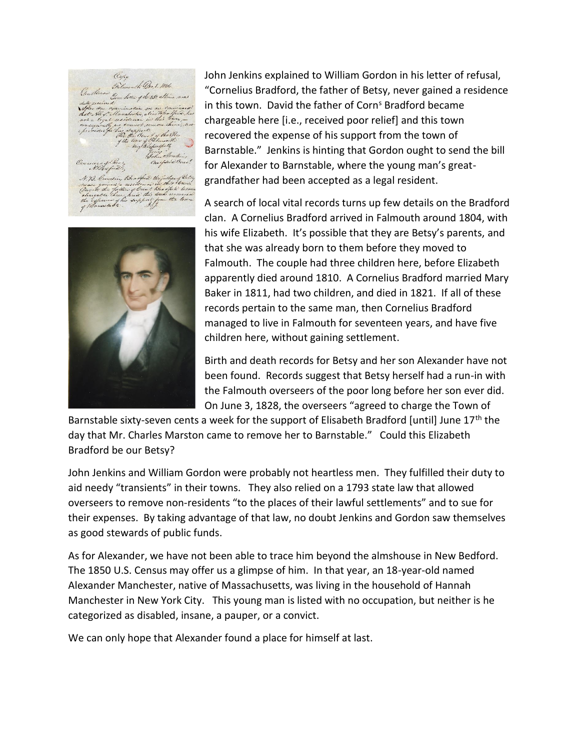Copy Finlancentho Ore 8. 1846. Gene Setter of the 25% altime eres of the An in Bea neau, gaund à residence roi de<br>chargable than glorid the theod<br>chargable then prix the the tack<br>the explance of his spoppert four<br>g filausstocke Tilendtere he



John Jenkins explained to William Gordon in his letter of refusal, "Cornelius Bradford, the father of Betsy, never gained a residence in this town. David the father of Corn<sup>s</sup> Bradford became chargeable here [i.e., received poor relief] and this town recovered the expense of his support from the town of Barnstable." Jenkins is hinting that Gordon ought to send the bill for Alexander to Barnstable, where the young man's greatgrandfather had been accepted as a legal resident.

A search of local vital records turns up few details on the Bradford clan. A Cornelius Bradford arrived in Falmouth around 1804, with his wife Elizabeth. It's possible that they are Betsy's parents, and that she was already born to them before they moved to Falmouth. The couple had three children here, before Elizabeth apparently died around 1810. A Cornelius Bradford married Mary Baker in 1811, had two children, and died in 1821. If all of these records pertain to the same man, then Cornelius Bradford managed to live in Falmouth for seventeen years, and have five children here, without gaining settlement.

Birth and death records for Betsy and her son Alexander have not been found. Records suggest that Betsy herself had a run-in with the Falmouth overseers of the poor long before her son ever did. On June 3, 1828, the overseers "agreed to charge the Town of

Barnstable sixty-seven cents a week for the support of Elisabeth Bradford [until] June 17<sup>th</sup> the day that Mr. Charles Marston came to remove her to Barnstable." Could this Elizabeth Bradford be our Betsy?

John Jenkins and William Gordon were probably not heartless men. They fulfilled their duty to aid needy "transients" in their towns. They also relied on a 1793 state law that allowed overseers to remove non-residents "to the places of their lawful settlements" and to sue for their expenses. By taking advantage of that law, no doubt Jenkins and Gordon saw themselves as good stewards of public funds.

As for Alexander, we have not been able to trace him beyond the almshouse in New Bedford. The 1850 U.S. Census may offer us a glimpse of him. In that year, an 18-year-old named Alexander Manchester, native of Massachusetts, was living in the household of Hannah Manchester in New York City. This young man is listed with no occupation, but neither is he categorized as disabled, insane, a pauper, or a convict.

We can only hope that Alexander found a place for himself at last.